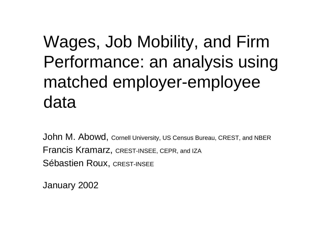### Wages, Job Mobility, and Firm Performance: an analysis using matched employer-employee data

John M. Abowd, Cornell University, US Census Bureau, CREST, and NBER Francis Kramarz, CREST-INSEE, CEPR, and IZA Sébastien Roux, CREST-INSEE

January 2002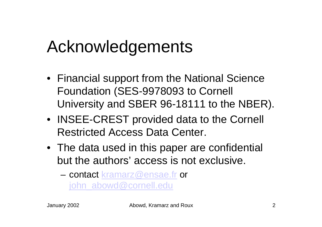#### Acknowledgements

- Financial support from the National Science Foundation (SES-9978093 to Cornell University and SBER 96-18111 to the NBER).
- INSEE-CREST provided data to the Cornell Restricted Access Data Center.
- The data used in this paper are confidential but the authors' access is not exclusive.
	- contact kramarz@ensae.fr or john\_abowd@cornell.edu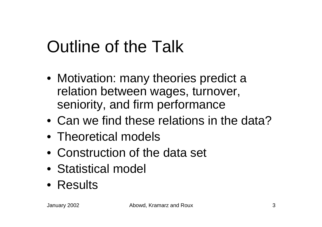# Outline of the Talk

- Motivation: many theories predict a relation between wages, turnover, seniority, and firm performance
- Can we find these relations in the data?
- Theoretical models
- Construction of the data set
- Statistical model
- Results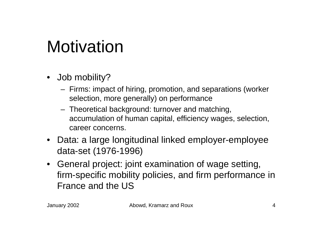#### **Motivation**

- Job mobility?
	- Firms: impact of hiring, promotion, and separations (worker selection, more generally) on performance
	- Theoretical background: turnover and matching, accumulation of human capital, efficiency wages, selection, career concerns.
- Data: a large longitudinal linked employer-employee data-set (1976-1996)
- General project: joint examination of wage setting, firm-specific mobility policies, and firm performance in France and the US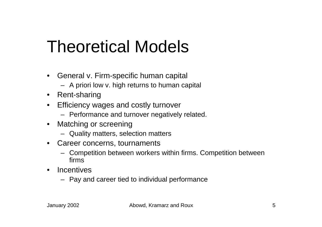#### Theoretical Models

- • General v. Firm-specific human capital
	- A priori low v. high returns to human capital
- Rent-sharing
- Efficiency wages and costly turnover
	- Performance and turnover negatively related.
- • Matching or screening
	- Quality matters, selection matters
- Career concerns, tournaments
	- Competition between workers within firms. Competition between firms
- • Incentives
	- Pay and career tied to individual performance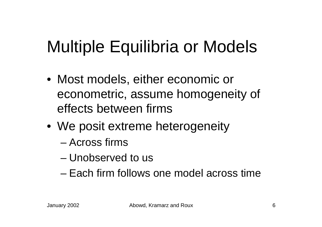# Multiple Equilibria or Models

- Most models, either economic or econometric, assume homogeneity of effects between firms
- We posit extreme heterogeneity
	- Across firms
	- Unobserved to us
	- Each firm follows one model across time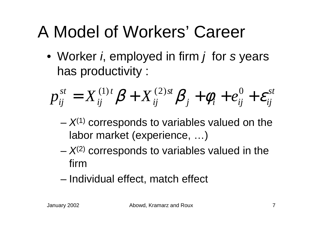## A Model of Workers' Career

• Worker *i*, employed in firm *j* for *s* years has productivity :

$$
p_{ij}^{st} = X_{ij}^{(1)t} \beta + X_{ij}^{(2)st} \beta_j + \phi_i + e_{ij}^0 + \varepsilon_{ij}^{st}
$$

- –-  $X^{(1)}$  corresponds to variables valued on the labor market (experience, …)
- –-  $X^{(2)}$  corresponds to variables valued in the firm
- Individual effect, match effect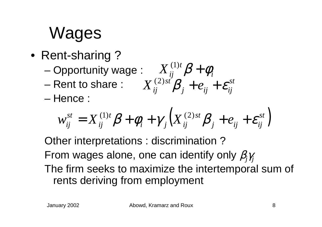# Wages

- Rent-sharing ?
	- –Opportunity wage :  $X_{ii}^{(1)i}$   $\beta + \phi_{ii}$
	- Rent to share :
	- Hence :

$$
\mathsf{ye} : \n\begin{aligned}\nX_{ij}^{(1)t} \beta + \phi_i \\
X_{ij}^{(2)st} \beta_j + e_{ij} + \varepsilon_{ij}^{st}\n\end{aligned}
$$

$$
w_{ij}^{st} = X_{ij}^{(1)t} \beta + \phi_i + \gamma_j \Big( X_{ij}^{(2)st} \beta_j + e_{ij} + \varepsilon_{ij}^{st} \Big)
$$

Other interpretations : discrimination ? From wages alone, one can identify only  $\beta_{\!j} \gamma_{\!j}$ The firm seeks to maximize the intertemporal sum of rents deriving from employment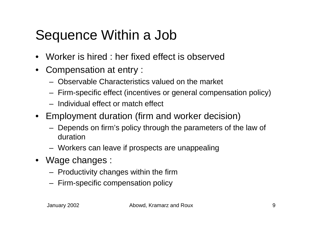#### Sequence Within a Job

- •Worker is hired : her fixed effect is observed
- $\bullet$  Compensation at entry :
	- Observable Characteristics valued on the market
	- Firm-specific effect (incentives or general compensation policy)
	- Individual effect or match effect
- Employment duration (firm and worker decision)
	- Depends on firm's policy through the parameters of the law of duration
	- Workers can leave if prospects are unappealing
- Wage changes :
	- Productivity changes within the firm
	- Firm-specific compensation policy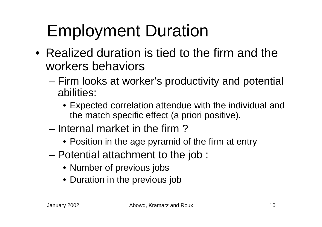# Employment Duration

- Realized duration is tied to the firm and the workers behaviors
	- – Firm looks at worker's productivity and potential abilities:
		- Expected correlation attendue with the individual and the match specific effect (a priori positive).
	- Internal market in the firm ?
		- Position in the age pyramid of the firm at entry
	- – Potential attachment to the job :
		- Number of previous jobs
		- Duration in the previous job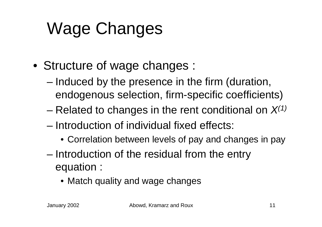# Wage Changes

- Structure of wage changes :
	- – Induced by the presence in the firm (duration, endogenous selection, firm-specific coefficients)
	- –Related to changes in the rent conditional on *X(1)*
	- Introduction of individual fixed effects:
		- Correlation between levels of pay and changes in pay
	- – Introduction of the residual from the entry equation :
		- Match quality and wage changes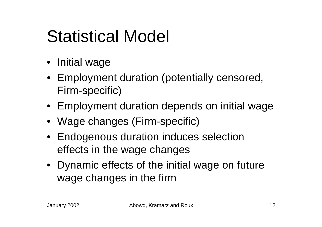#### Statistical Model

- Initial wage
- Employment duration (potentially censored, Firm-specific)
- Employment duration depends on initial wage
- Wage changes (Firm-specific)
- Endogenous duration induces selection effects in the wage changes
- Dynamic effects of the initial wage on future wage changes in the firm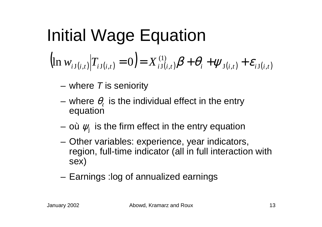#### Initial Wage Equation  $\mathcal{W}_{i,\mathrm{J}(i,t)}[T_{i,\mathrm{J}(i,t)}=0] = X_{i,\mathrm{J}(i,t)}^{(1)}\bm{\beta} + \theta_i + \psi_{\mathrm{J}(i,t)} + \mathcal{E}_{i,\mathrm{J}(i,t)}$  $\Big($ ) ( 1 )  $\ln w_{ij(i,t)}|T_{ij(i,t)}=0=X_{ij(i,t)}^{(1)}$  $=0= X^{(1)}_{iJ(i,t)}\beta+\theta_i+\psi_{J(i,t)}+\varepsilon_i$

- where *T* is seniority
- where  $\theta_{_l}$  is the individual effect in the entry equation
- où  $\psi_\mathsf{j}$  is the firm effect in the entry equation
- Other variables: experience, year indicators, region, full-time indicator (all in full interaction with sex)
- Earnings :log of annualized earnings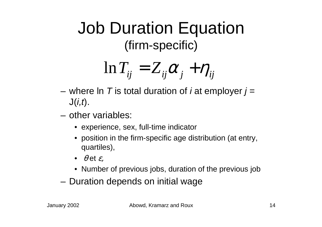#### Job Duration Equation (firm-specific)

$$
\ln T_{ij} = Z_{ij}\alpha_j + \eta_{ij}
$$

- where ln *T* is total duration of *i* at employer *j* <sup>=</sup> J(*i,t*).
- other variables:
	- experience, sex, full-time indicator
	- position in the firm-specific age distribution (at entry, quartiles),
	- $\bullet$   $\theta$  et  $\varepsilon$ ,
	- Number of previous jobs, duration of the previous job
- –Duration depends on initial wage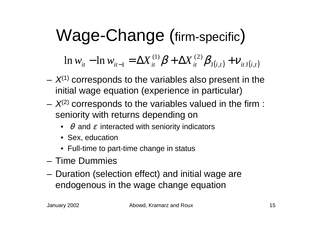#### Wage-Change (firm-specific )

 $W_{it}$  -  $\ln W_{it-1} = \Delta X_{it}^{(1)} \beta + \Delta X_{it}^{(2)} \beta_{J(i,t)} + V_{itJ(i,t)}$  $(1)$   $\boldsymbol{Q}$   $\boldsymbol{\Lambda}$   $\boldsymbol{\mathbf{V}}$   $(2)$  $\ln w^{\vphantom{*}}_{it}$  —  $\ln w^{\vphantom{*}}_{it-1}$  $-\ln w_{it-1} = \Delta X_{it}^{(1)} \beta + \Delta X_{it}^{(2)} \beta_{J(i,t)} + v$ 

- *X*(1) corresponds to the variables also present in the initial wage equation (experience in particular)
- *X*(2) corresponds to the variables valued in the firm : seniority with returns depending on
	- $\bullet\ \ \theta$  and  $\varepsilon$  interacted with seniority indicators
	- Sex, education
	- Full-time to part-time change in status
- Time Dummies
- – Duration (selection effect) and initial wage are endogenous in the wage change equation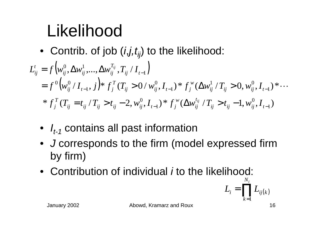# Likelihood

• Contrib. of job ( *<sup>i</sup>*,*j,tij*) to the likelihood:

$$
L_{ij}^{t} = f(w_{ij}^{0}, \Delta w_{ij}^{1}, ..., \Delta w_{ij}^{T_{ij}}, T_{ij} / I_{t-1})
$$
  
=  $f^{0}(w_{ij}^{0} / I_{t-1}, j) * f_{j}^{T}(T_{ij} > 0 / w_{ij}^{0}, I_{t-1}) * f_{j}^{w}(\Delta w_{ij}^{1} / T_{ij} > 0, w_{ij}^{0}, I_{t-1}) * ...$   
\*  $f_{j}^{T}(T_{ij} = t_{ij} / T_{ij} > t_{ij} - 2, w_{ij}^{0}, I_{t-1}) * f_{j}^{w}(\Delta w_{ij}^{t_{ij}} / T_{ij} > t_{ij} - 1, w_{ij}^{0}, I_{t-1})$ 

- $\bullet$   ${\mathit I}_{t\text{-}{\mathit 1}}$  contains all past information
- *J* corresponds to the firm (model expressed firm by firm)
- Contribution of individual *i* to the likelihood:

$$
L_i = \prod_{k=1}^{N_i} L_{ij(k)}
$$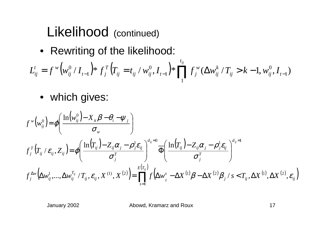#### Likelihood (continued)

• Rewriting of the likelihood:

$$
L_{ij}^t = f^w \Big( w_{ij}^0 / I_{t-1} \Big) * f_j^T \Big( T_{ij} = t_{ij} / w_{ij}^0, I_{t-1} \Big) * \prod_{i=1}^{t_{ij}} f_j^w \big( \Delta w_{ij}^k / T_{ij} > k-1, w_{ij}^0, I_{t-1} \big)
$$

• which gives:

$$
f^{\scriptscriptstyle{W}}(\mathbf{w}_{ij}^{0}) = \varphi \bigg( \frac{\ln(\mathbf{w}_{ij}^{0}) - X_{\scriptscriptstyle{it}} \beta - \theta_{\scriptscriptstyle{i}} - \psi_{\scriptscriptstyle{j}}}{\sigma_{\scriptscriptstyle{W}}}\bigg)
$$
  

$$
f^{\scriptscriptstyle{W}}_{\scriptscriptstyle{j}}(T_{\scriptscriptstyle{ij}} / \varepsilon_{ij}, Z_{\scriptscriptstyle{ij}}) = \varphi \bigg( \frac{\ln(T_{\scriptscriptstyle{ij}}) - Z_{\scriptscriptstyle{ij}} \alpha_{\scriptscriptstyle{j}} - \rho_{\scriptscriptstyle{j}}^{1} \varepsilon_{\scriptscriptstyle{ij}}}{\sigma_{\scriptscriptstyle{j}}^T} \bigg)^{d_{\scriptscriptstyle{ij}}=0} \overline{\Phi} \bigg( \frac{\ln(T_{\scriptscriptstyle{ij}}) - Z_{\scriptscriptstyle{ij}} \alpha_{\scriptscriptstyle{j}} - \rho_{\scriptscriptstyle{j}}^{1} \varepsilon_{\scriptscriptstyle{ij}}}{\sigma_{\scriptscriptstyle{j}}^T} \bigg)^{d_{\scriptscriptstyle{ij}}=1}
$$
  

$$
f^{\scriptscriptstyle{\Delta W}}_{\scriptscriptstyle{j}}(\Delta w_{\scriptscriptstyle{ij}}^{1}, ..., \Delta w_{\scriptscriptstyle{ij}}^{T_{\scriptscriptstyle{ij}}}/T_{\scriptscriptstyle{ij}}, \varepsilon_{\scriptscriptstyle{ij}}, X^{(1)}, X^{(2)}) = \prod_{\scriptscriptstyle{s=1}}^{\scriptscriptstyle{E(T_{\scriptscriptstyle{ij}})}} f(\Delta w_{\scriptscriptstyle{ij}}^{s} - \Delta X^{(1)} \beta - \Delta X^{(2)} \beta_{\scriptscriptstyle{j}} / s < T_{\scriptscriptstyle{ij}}, \Delta X^{(1)}, \Delta X^{(2)}, \varepsilon_{\scriptscriptstyle{ij}} \bigg)
$$

January 2002 Abowd, Kramarz and Roux 17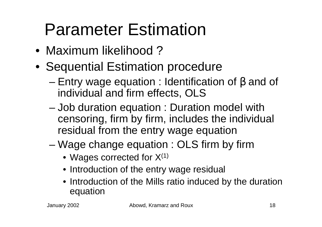## Parameter Estimation

- Maximum likelihood ?
- Sequential Estimation procedure
	- – Entry wage equation : Identification of β and of individual and firm effects, OLS
	- – Job duration equation : Duration model with censoring, firm by firm, includes the individual residual from the entry wage equation
	- – Wage change equation : OLS firm by firm
		- $\bullet\,$  Wages corrected for X $^{(1)}$
		- Introduction of the entry wage residual
		- Introduction of the Mills ratio induced by the duration equation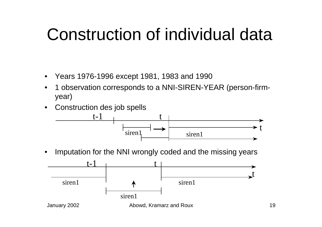#### Construction of individual data

- $\bullet$ Years 1976-1996 except 1981, 1983 and 1990
- • 1 observation corresponds to a NNI-SIREN-YEAR (person-firmyear)
- •Construction des job spells



•Imputation for the NNI wrongly coded and the missing years

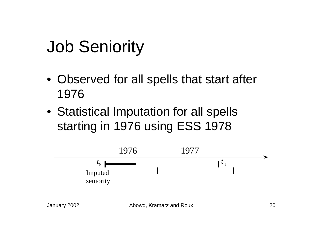### Job Seniority

- Observed for all spells that start after 1976
- Statistical Imputation for all spells starting in 1976 using ESS 1978

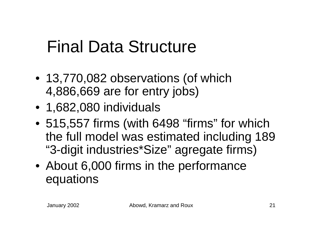#### Final Data Structure

- 13,770,082 observations (of which 4,886,669 are for entry jobs)
- 1,682,080 individuals
- 515,557 firms (with 6498 "firms" for which the full model was estimated including 189 "3-digit industries\*Size" agregate firms)
- About 6,000 firms in the performance equations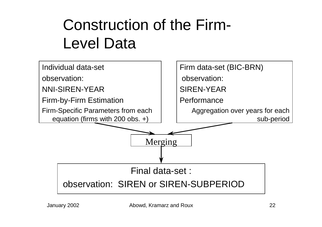#### Construction of the Firm-Level Data

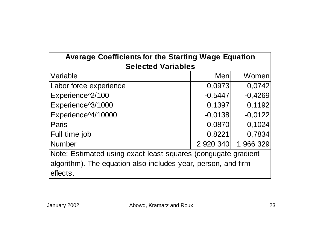| <b>Average Coefficients for the Starting Wage Equation</b>    |           |           |  |  |  |  |  |  |  |  |  |  |
|---------------------------------------------------------------|-----------|-----------|--|--|--|--|--|--|--|--|--|--|
| <b>Selected Variables</b>                                     |           |           |  |  |  |  |  |  |  |  |  |  |
| Variable                                                      | Menl      | Women     |  |  |  |  |  |  |  |  |  |  |
| Labor force experience                                        | 0,0973    | 0,0742    |  |  |  |  |  |  |  |  |  |  |
| Experience <sup>2</sup> /100                                  | $-0,5447$ | $-0,4269$ |  |  |  |  |  |  |  |  |  |  |
| Experience <sup>^3</sup> /1000                                | 0,1397    | 0,1192    |  |  |  |  |  |  |  |  |  |  |
| Experience <sup>24</sup> /10000                               | $-0,0138$ | $-0,0122$ |  |  |  |  |  |  |  |  |  |  |
| Paris                                                         | 0,0870    | 0,1024    |  |  |  |  |  |  |  |  |  |  |
| Full time job                                                 | 0,8221    | 0,7834    |  |  |  |  |  |  |  |  |  |  |
| <b>Number</b>                                                 | 2 920 340 | 1 966 329 |  |  |  |  |  |  |  |  |  |  |
| Note: Estimated using exact least squares (congugate gradient |           |           |  |  |  |  |  |  |  |  |  |  |
| algorithm). The equation also includes year, person, and firm |           |           |  |  |  |  |  |  |  |  |  |  |
| effects.                                                      |           |           |  |  |  |  |  |  |  |  |  |  |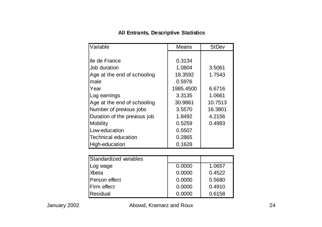#### **All Entrants, Descriptive Statistics**

| Variable                     | Means     | <b>StDev</b> |
|------------------------------|-----------|--------------|
|                              |           |              |
| lle de France                | 0.3134    |              |
| Job duration                 | 1.0804    | 3.5061       |
| Age at the end of schooling  | 18.3592   | 1.7543       |
| male                         | 0.5976    |              |
| Year                         | 1985.4500 | 6.6716       |
| Log earnings                 | 3.3135    | 1.0661       |
| Age at the end of schooling  | 30.9861   | 10.7513      |
| Number of previous jobs      | 3.5570    | 16.3801      |
| Duration of the previous job | 1.8492    | 4.2156       |
| <b>Mobility</b>              | 0.5259    | 0.4993       |
| Low-education                | 0.5507    |              |
| <b>Technical education</b>   | 0.2865    |              |
| High-education               | 0.1628    |              |

| <b>Standardized variables</b> |        |        |
|-------------------------------|--------|--------|
| Log wage                      | 0.0000 | 1.0657 |
| Xbeta                         | 0.0000 | 0.4522 |
| Person effect                 | 0.0000 | 0.5680 |
| Firm effect                   | 0.0000 | 0.4910 |
| <b>Residual</b>               | 0.0000 | 0.6158 |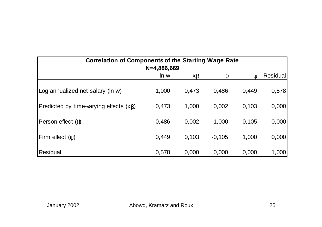| <b>Correlation of Components of the Starting Wage Rate</b> |               |          |          |              |                 |
|------------------------------------------------------------|---------------|----------|----------|--------------|-----------------|
|                                                            | $N=4,886,669$ |          |          |              |                 |
|                                                            | ln w          | $x\beta$ | $\theta$ | $\mathbf{U}$ | <b>Residual</b> |
| Log annualized net salary (In w)                           | 1,000         | 0.473    | 0.486    | 0.449        | 0,578           |
| Predicted by time-varying effects $(x\beta)$               | 0,473         | 1,000    | 0,002    | 0,103        | 0,000           |
| Person effect $(\theta)$                                   | 0,486         | 0,002    | 1,000    | $-0,105$     | 0,000           |
| Firm effect $(y)$                                          | 0,449         | 0,103    | $-0,105$ | 1,000        | 0,000           |
| Residual                                                   | 0,578         | 0,000    | 0,000    | 0,000        | 1,000           |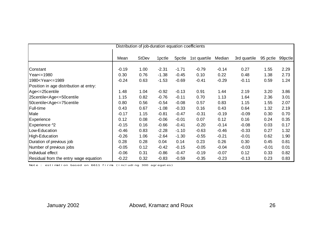| Distribution of job-duration equation coefficients                                                                                                                                                                                              |         |              |                    |                    |              |         |              |          |         |  |
|-------------------------------------------------------------------------------------------------------------------------------------------------------------------------------------------------------------------------------------------------|---------|--------------|--------------------|--------------------|--------------|---------|--------------|----------|---------|--|
|                                                                                                                                                                                                                                                 | Mean    | <b>StDev</b> | 1 <sub>pctle</sub> | 5 <sub>pctle</sub> | 1st quartile | Median  | 3rd quartile | 95 pctle | 99pctle |  |
|                                                                                                                                                                                                                                                 |         |              |                    |                    |              |         |              |          |         |  |
| Constant                                                                                                                                                                                                                                        | $-0.19$ | 1.00         | $-2.31$            | $-1.71$            | $-0.79$      | $-0.14$ | 0.27         | 1.55     | 2.29    |  |
| Year <= 1980                                                                                                                                                                                                                                    | 0.30    | 0.76         | $-1.38$            | $-0.45$            | 0.10         | 0.22    | 0.48         | 1.38     | 2.73    |  |
| 1980 <year<=1989< td=""><td><math>-0.24</math></td><td>0.63</td><td><math>-1.53</math></td><td><math>-0.69</math></td><td><math>-0.41</math></td><td><math>-0.29</math></td><td><math>-0.11</math></td><td>0.59</td><td>1.24</td></year<=1989<> | $-0.24$ | 0.63         | $-1.53$            | $-0.69$            | $-0.41$      | $-0.29$ | $-0.11$      | 0.59     | 1.24    |  |
| Position in age distribution at entry:                                                                                                                                                                                                          |         |              |                    |                    |              |         |              |          |         |  |
| Age <= 25 centile                                                                                                                                                                                                                               | 1.48    | 1.04         | $-0.92$            | $-0.13$            | 0.91         | 1.44    | 2.19         | 3.20     | 3.86    |  |
| 25centile <age<=50centile< td=""><td>1.15</td><td>0.82</td><td><math>-0.76</math></td><td><math>-0.11</math></td><td>0.70</td><td>1.13</td><td>1.64</td><td>2.36</td><td>3.01</td></age<=50centile<>                                            | 1.15    | 0.82         | $-0.76$            | $-0.11$            | 0.70         | 1.13    | 1.64         | 2.36     | 3.01    |  |
| 50centile <age<=75centile< td=""><td>0.80</td><td>0.56</td><td><math>-0.54</math></td><td><math>-0.08</math></td><td>0.57</td><td>0.83</td><td>1.15</td><td>1.55</td><td>2.07</td></age<=75centile<>                                            | 0.80    | 0.56         | $-0.54$            | $-0.08$            | 0.57         | 0.83    | 1.15         | 1.55     | 2.07    |  |
| Full-time                                                                                                                                                                                                                                       | 0.43    | 0.67         | $-1.08$            | $-0.33$            | 0.16         | 0.43    | 0.64         | 1.32     | 2.19    |  |
| Male                                                                                                                                                                                                                                            | $-0.17$ | 1.15         | $-0.81$            | $-0.47$            | $-0.31$      | $-0.19$ | $-0.09$      | 0.30     | 0.70    |  |
| Experience                                                                                                                                                                                                                                      | 0.12    | 0.08         | $-0.06$            | $-0.01$            | 0.07         | 0.12    | 0.16         | 0.24     | 0.35    |  |
| Experience ^2                                                                                                                                                                                                                                   | $-0.15$ | 0.16         | $-0.66$            | $-0.41$            | $-0.20$      | $-0.14$ | $-0.08$      | 0.03     | 0.17    |  |
| Low-Education                                                                                                                                                                                                                                   | $-0.46$ | 0.83         | $-2.28$            | $-1.10$            | $-0.63$      | $-0.46$ | $-0.33$      | 0.27     | 1.32    |  |
| High-Education                                                                                                                                                                                                                                  | $-0.26$ | 1.06         | $-2.64$            | $-1.30$            | $-0.55$      | $-0.21$ | $-0.01$      | 0.62     | 1.90    |  |
| Duration of previous job                                                                                                                                                                                                                        | 0.28    | 0.28         | 0.04               | 0.14               | 0.23         | 0.26    | 0.30         | 0.45     | 0.81    |  |
| Number of previous jobs                                                                                                                                                                                                                         | $-0.05$ | 0.12         | $-0.42$            | $-0.15$            | $-0.05$      | $-0.04$ | $-0.03$      | $-0.01$  | 0.01    |  |
| Individual effect                                                                                                                                                                                                                               | $-0.06$ | 0.31         | $-0.86$            | $-0.47$            | $-0.19$      | $-0.07$ | 0.12         | 0.33     | 0.82    |  |
| Residual from the entry wage equation                                                                                                                                                                                                           | $-0.22$ | 0.32         | $-0.83$            | $-0.59$            | $-0.35$      | $-0.23$ | $-0.13$      | 0.23     | 0.83    |  |

Note : estimation based on 6611 firms (including 300 agregates)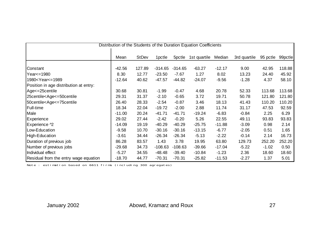| Distribution of the Students of the Duration Equation Coefficients                                                                                                                                                                                    |          |              |                    |           |              |          |              |          |         |  |
|-------------------------------------------------------------------------------------------------------------------------------------------------------------------------------------------------------------------------------------------------------|----------|--------------|--------------------|-----------|--------------|----------|--------------|----------|---------|--|
|                                                                                                                                                                                                                                                       |          |              |                    |           |              |          |              |          |         |  |
|                                                                                                                                                                                                                                                       | Mean     | <b>StDev</b> | 1 <sub>pctle</sub> | 5pctle    | 1st quartile | Median   | 3rd quartile | 95 pctle | 99pctle |  |
|                                                                                                                                                                                                                                                       |          |              |                    |           |              |          |              |          |         |  |
| Constant                                                                                                                                                                                                                                              | $-42.56$ | 127.89       | $-314.65$          | $-314.65$ | $-63.27$     | $-12.17$ | 9.00         | 42.95    | 118.88  |  |
| Year <= 1980                                                                                                                                                                                                                                          | 8.30     | 12.77        | $-23.50$           | $-7.67$   | 1.27         | 8.02     | 13.23        | 24.40    | 45.92   |  |
| 1980 <year<=1989< td=""><td><math>-12.64</math></td><td>40.62</td><td><math>-47.57</math></td><td><math>-44.82</math></td><td><math>-24.07</math></td><td><math>-9.56</math></td><td><math>-1.28</math></td><td>4.37</td><td>58.10</td></year<=1989<> | $-12.64$ | 40.62        | $-47.57$           | $-44.82$  | $-24.07$     | $-9.56$  | $-1.28$      | 4.37     | 58.10   |  |
| Position in age distribution at entry:                                                                                                                                                                                                                |          |              |                    |           |              |          |              |          |         |  |
| Age <= 25 centile                                                                                                                                                                                                                                     | 30.68    | 30.81        | $-1.99$            | $-0.47$   | 4.68         | 20.78    | 52.33        | 113.68   | 113.68  |  |
| 25centile <age<=50centile< td=""><td>29.31</td><td>31.37</td><td><math>-2.10</math></td><td><math>-0.65</math></td><td>3.72</td><td>19.71</td><td>50.78</td><td>121.80</td><td>121.80</td></age<=50centile<>                                          | 29.31    | 31.37        | $-2.10$            | $-0.65$   | 3.72         | 19.71    | 50.78        | 121.80   | 121.80  |  |
| 50centile <age<=75centile< td=""><td>26.40</td><td>28.33</td><td><math>-2.54</math></td><td><math>-0.87</math></td><td>3.46</td><td>18.13</td><td>41.43</td><td>110.20</td><td>110.20</td></age<=75centile<>                                          | 26.40    | 28.33        | $-2.54$            | $-0.87$   | 3.46         | 18.13    | 41.43        | 110.20   | 110.20  |  |
| Full-time                                                                                                                                                                                                                                             | 18.34    | 22.04        | $-19.72$           | $-2.00$   | 2.88         | 11.74    | 31.17        | 47.53    | 92.59   |  |
| Male                                                                                                                                                                                                                                                  | $-11.00$ | 20.24        | $-41.71$           | $-41.71$  | $-19.24$     | $-6.83$  | $-0.84$      | 2.25     | 6.29    |  |
| <b>Experience</b>                                                                                                                                                                                                                                     | 29.02    | 27.44        | $-2.42$            | $-0.20$   | 5.26         | 22.55    | 49.11        | 93.83    | 93.83   |  |
| Experience ^2                                                                                                                                                                                                                                         | $-14.09$ | 19.19        | $-40.29$           | $-40.29$  | $-25.75$     | $-11.88$ | $-3.09$      | 0.98     | 2.14    |  |
| Low-Education                                                                                                                                                                                                                                         | $-9.58$  | 10.70        | $-30.16$           | $-30.16$  | $-13.15$     | $-6.77$  | $-2.05$      | 0.51     | 1.65    |  |
| High-Education                                                                                                                                                                                                                                        | $-3.61$  | 34.44        | $-26.34$           | $-26.34$  | $-5.13$      | $-2.22$  | $-0.14$      | 2.14     | 16.73   |  |
| Duration of previous job                                                                                                                                                                                                                              | 86.28    | 83.57        | 1.43               | 3.78      | 19.95        | 63.80    | 129.73       | 252.20   | 252.20  |  |
| Number of previous jobs                                                                                                                                                                                                                               | $-29.68$ | 34.73        | $-108.63$          | $-108.63$ | $-39.66$     | $-17.04$ | $-5.22$      | $-1.02$  | 0.50    |  |
| Individual effect                                                                                                                                                                                                                                     | $-5.27$  | 34.55        | $-48.48$           | $-39.40$  | $-10.84$     | $-1.23$  | 2.36         | 18.60    | 18.60   |  |
| Residual from the entry wage equation                                                                                                                                                                                                                 | $-18.70$ | 44.77        | $-70.31$           | $-70.31$  | $-25.82$     | $-11.53$ | $-2.27$      | 1.37     | 5.01    |  |

Note : estimation based on 6611 firms (including 300 agregates)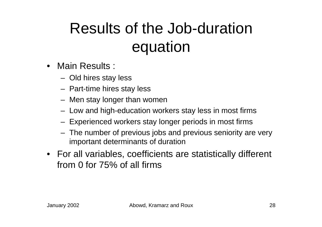#### Results of the Job-duration equation

- Main Results :
	- Old hires stay less
	- Part-time hires stay less
	- Men stay longer than women
	- Low and high-education workers stay less in most firms
	- Experienced workers stay longer periods in most firms
	- The number of previous jobs and previous seniority are very important determinants of duration
- For all variables, coefficients are statistically different from 0 for 75% of all firms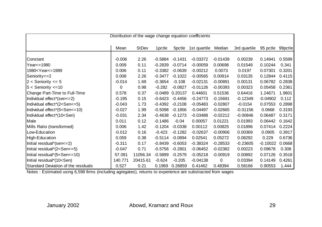| Distribution of the wage change equation coefficients                                                                                                                                                                                                                         |          |              |           |                    |              |            |              |            |         |  |
|-------------------------------------------------------------------------------------------------------------------------------------------------------------------------------------------------------------------------------------------------------------------------------|----------|--------------|-----------|--------------------|--------------|------------|--------------|------------|---------|--|
|                                                                                                                                                                                                                                                                               | Mean     | <b>StDev</b> | 1pctle    | 5 <sub>pctle</sub> | 1st quartile | Median     | 3rd quartile | 95 pctle   | 99pctle |  |
| Constant                                                                                                                                                                                                                                                                      | $-0.006$ | 2.26         | $-0.5884$ | $-0.1431$          | $-0.03372$   | $-0.01439$ | 0.00239      | 0.14941    | 0.5599  |  |
| Year <= 1980                                                                                                                                                                                                                                                                  | 0.009    | 0.11         | $-0.2839$ | $-0.0714$          | $-0.00059$   | 0.00698    | 0.01549      | 0.10244    | 0.341   |  |
| 1980 <year<=1989< td=""><td>0.006</td><td>0.11</td><td><math>-0.3382</math></td><td><math>-0.0639</math></td><td><math>-0.00212</math></td><td>0.0073</td><td>0.0197</td><td>0.07301</td><td>0.3201</td></year<=1989<>                                                        | 0.006    | 0.11         | $-0.3382$ | $-0.0639$          | $-0.00212$   | 0.0073     | 0.0197       | 0.07301    | 0.3201  |  |
| Seniority <= 2                                                                                                                                                                                                                                                                | 0.008    | 2.26         | $-0.3477$ | $-0.1022$          | $-0.00565$   | 0.00914    | 0.03135      | 0.12844    | 0.4115  |  |
| $2 <$ Seniority $\leq 5$                                                                                                                                                                                                                                                      | $-0.014$ | 1.69         | $-0.3654$ | $-0.108$           | $-0.02131$   | $-0.00891$ | 0.00131      | 0.06782    | 0.2838  |  |
| $5 <$ Seniority $\leq 10$                                                                                                                                                                                                                                                     | 0        | 0.98         | $-0.282$  | $-0.0827$          | $-0.01126$   | $-0.00393$ | 0.00323      | 0.05458    | 0.2361  |  |
| Change Part-Time to Full-Time                                                                                                                                                                                                                                                 | 0.578    | 0.37         | $-0.0489$ | 0.20137            | 0.44601      | 0.51536    | 0.64416      | 1.24671    | 1.9601  |  |
| Individual effect*(sen<=2)                                                                                                                                                                                                                                                    | $-0.195$ | 0.15         | $-0.6423$ | $-0.4456$          | $-0.24773$   | $-0.15691$ | $-0.12349$   | $-0.04902$ | 0.112   |  |
| Individual effect*(2 <sen<=5)< td=""><td><math>-0.043</math></td><td>1.73</td><td><math>-0.4392</math></td><td><math>-0.2108</math></td><td><math>-0.05483</math></td><td><math>-0.02807</math></td><td><math>-0.0154</math></td><td>0.07553</td><td>0.2898</td></sen<=5)<>   | $-0.043$ | 1.73         | $-0.4392$ | $-0.2108$          | $-0.05483$   | $-0.02807$ | $-0.0154$    | 0.07553    | 0.2898  |  |
| Individual effect*(5 <sen<=10)< td=""><td><math>-0.027</math></td><td>1.99</td><td><math>-0.5098</math></td><td><math>-0.1856</math></td><td><math>-0.04497</math></td><td><math>-0.02665</math></td><td><math>-0.01156</math></td><td>0.0668</td><td>0.3193</td></sen<=10)<> | $-0.027$ | 1.99         | $-0.5098$ | $-0.1856$          | $-0.04497$   | $-0.02665$ | $-0.01156$   | 0.0668     | 0.3193  |  |
| Individual effect*(10 <sen)< td=""><td><math>-0.031</math></td><td>2.34</td><td><math>-0.4638</math></td><td><math>-0.1273</math></td><td><math>-0.03488</math></td><td><math>-0.02212</math></td><td><math>-0.00846</math></td><td>0.06487</td><td>0.3171</td></sen)<>       | $-0.031$ | 2.34         | $-0.4638$ | $-0.1273$          | $-0.03488$   | $-0.02212$ | $-0.00846$   | 0.06487    | 0.3171  |  |
| Male                                                                                                                                                                                                                                                                          | 0.011    | 0.12         | $-0.1486$ | $-0.04$            | 0.00057      | 0.01221    | 0.01993      | 0.06442    | 0.1642  |  |
| Mills Ratio (transformed)                                                                                                                                                                                                                                                     | 0.006    | 1.42         | $-0.1204$ | $-0.0338$          | 0.00112      | 0.00825    | 0.01896      | 0.07414    | 0.2224  |  |
| Low-Education                                                                                                                                                                                                                                                                 | $-0.012$ | 0.16         | $-0.423$  | $-0.1282$          | $-0.02637$   | $-0.00906$ | 0.00369      | 0.0905     | 0.3917  |  |
| High-Education                                                                                                                                                                                                                                                                | 0.059    | 0.38         | $-0.5114$ | $-0.0894$          | 0.02541      | 0.05272    | 0.08292      | 0.229      | 0.6736  |  |
| Initial residual*(sen<=2)                                                                                                                                                                                                                                                     | $-0.311$ | 0.17         | $-0.8439$ | $-0.6053$          | $-0.38324$   | $-0.28533$ | $-0.23605$   | $-0.10022$ | 0.0668  |  |
| Initial residual*(2 <sen<=5)< td=""><td><math>-0.047</math></td><td>0.71</td><td><math>-0.5756</math></td><td><math>-0.2801</math></td><td><math>-0.06452</math></td><td><math>-0.02382</math></td><td>0.00223</td><td>0.09678</td><td>0.308</td></sen<=5)<>                  | $-0.047$ | 0.71         | $-0.5756$ | $-0.2801$          | $-0.06452$   | $-0.02382$ | 0.00223      | 0.09678    | 0.308   |  |
| Initial residual* $(5 <$ Sen $< = 10$ )                                                                                                                                                                                                                                       | 57.091   | 11056.34     | $-0.5899$ | $-0.2579$          | $-0.05218$   | $-0.00919$ | 0.00892      | 0.07126    | 0.3518  |  |
| Initial residual*(10 <sen)< td=""><td>140.771</td><td>20415.61</td><td><math>-0.624</math></td><td><math>-0.205</math></td><td><math>-0.04138</math></td><td>0</td><td>0.03394</td><td>0.14149</td><td>0.4261</td></sen)<>                                                    | 140.771  | 20415.61     | $-0.624$  | $-0.205$           | $-0.04138$   | 0          | 0.03394      | 0.14149    | 0.4261  |  |
| <b>Standard Deviation of the residuals</b>                                                                                                                                                                                                                                    | 0.527    | 0.21         | 0.1969    | 0.26859            | 0.41462      | 0.48394    | 0.58166      | 0.90553    | 1.444   |  |

Notes : Estimated using 6,598 firms (including agregates), returns to experience are substracted from wages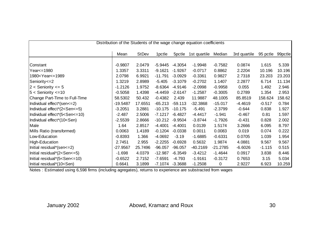| Distribution of the Students of the wage change equation coefficients                                                                                                                                                                                                   |            |              |                    |           |              |             |              |          |         |  |
|-------------------------------------------------------------------------------------------------------------------------------------------------------------------------------------------------------------------------------------------------------------------------|------------|--------------|--------------------|-----------|--------------|-------------|--------------|----------|---------|--|
|                                                                                                                                                                                                                                                                         | Mean       | <b>StDev</b> | 1 <sub>pctle</sub> | 5pctle    | 1st quartile | Median      | 3rd quartile | 95 pctle | 99pctle |  |
| Constant                                                                                                                                                                                                                                                                | $-0.9807$  | 2.0479       | $-5.9445$          | $-4.3054$ | $-1.9948$    | $-0.7582$   | 0.0874       | 1.615    | 5.339   |  |
| Year <= 1980                                                                                                                                                                                                                                                            | 1.3357     | 3.3311       | $-9.1621$          | $-1.9267$ | $-0.0717$    | 0.8862      | 2.2204       | 10.196   | 10.196  |  |
|                                                                                                                                                                                                                                                                         | 2.0798     | 6.9921       | $-11.791$          | $-3.0929$ | $-0.3361$    |             | 2.7318       |          | 23.203  |  |
| 1980 <year<=1989< td=""><td></td><td></td><td></td><td></td><td></td><td>0.9827</td><td></td><td>23.203</td><td></td></year<=1989<>                                                                                                                                     |            |              |                    |           |              | 0.9827      |              | 23.203   |         |  |
| Seniority <= 2                                                                                                                                                                                                                                                          | 1.3219     | 2.8989       | $-5.405$           | $-3.1079$ | $-0.2702$    | 1.1407      | 2.2877       | 6.714    | 11.134  |  |
| $2 <$ Seniority $\leq 5$                                                                                                                                                                                                                                                | $-1.2126$  | 1.9752       | $-8.6364$          | $-4.9146$ | $-2.0998$    | $-0.9958$   | 0.055        | 1.492    | 2.946   |  |
| $5 <$ Seniority $\lt = 10$                                                                                                                                                                                                                                              | $-0.5058$  | 1.4398       | $-4.4459$          | $-2.6147$ | $-1.2587$    | $-0.3005$   | 0.2789       | 1.354    | 2.953   |  |
| Change Part-Time to Full-Time                                                                                                                                                                                                                                           | 58.5302    | 50.432       | $-0.4382$          | 2.439     | 11.9887      | 48.1005     | 85.8519      | 158.624  | 158.62  |  |
| Individual effect*(sen<=2)                                                                                                                                                                                                                                              | $-19.5487$ | 17.6551      | $-65.213$          | $-59.113$ | $-32.3868$   | $-15.017$   | $-4.4619$    | $-0.517$ | 0.784   |  |
| Individual effect*(2 <sen<=5)< td=""><td><math>-3.2051</math></td><td>3.2881</td><td><math>-10.175</math></td><td><math>-10.175</math></td><td><math>-5.491</math></td><td><math>-2.3799</math></td><td><math>-0.644</math></td><td>0.838</td><td>1.927</td></sen<=5)<> | $-3.2051$  | 3.2881       | $-10.175$          | $-10.175$ | $-5.491$     | $-2.3799$   | $-0.644$     | 0.838    | 1.927   |  |
| Individual effect*(5 <sen<=10)< td=""><td><math>-2.487</math></td><td>2.5006</td><td><math>-7.1217</math></td><td><math>-6.4827</math></td><td><math>-4.4417</math></td><td><math>-1.941</math></td><td><math>-0.467</math></td><td>0.81</td><td>1.597</td></sen<=10)<> | $-2.487$   | 2.5006       | $-7.1217$          | $-6.4827$ | $-4.4417$    | $-1.941$    | $-0.467$     | 0.81     | 1.597   |  |
| Individual effect*(10 <sen)< td=""><td><math>-2.5539</math></td><td>2.8666</td><td><math>-10.212</math></td><td><math>-9.9504</math></td><td><math>-3.8744</math></td><td><math>-1.7926</math></td><td><math>-0.431</math></td><td>0.828</td><td>2.002</td></sen)<>     | $-2.5539$  | 2.8666       | $-10.212$          | $-9.9504$ | $-3.8744$    | $-1.7926$   | $-0.431$     | 0.828    | 2.002   |  |
| Male                                                                                                                                                                                                                                                                    | 1.64       | 2.8517       | $-4.4001$          | $-4.4001$ | 0.0139       | 1.5174      | 3.2666       | 6.095    | 8.797   |  |
| Mills Ratio (transformed)                                                                                                                                                                                                                                               | 0.0063     | 1.4189       | $-0.1204$          | $-0.0338$ | 0.0011       | 0.0083      | 0.019        | 0.074    | 0.222   |  |
| Low-Education                                                                                                                                                                                                                                                           | $-0.8393$  | 1.366        | $-4.0692$          | $-3.19$   | $-1.6885$    | $-0.6331$   | 0.0705       | 1.039    | 1.954   |  |
| High-Education                                                                                                                                                                                                                                                          | 2.7451     | 2.955        | $-2.2255$          | $-0.6928$ | 0.5632       | 1.9874      | 4.0881       | 9.567    | 9.567   |  |
| Initial residual*(sen<=2)                                                                                                                                                                                                                                               | $-27.9567$ | 25.7496      | $-96.057$          | $-96.057$ | $-40.2169$   | $-21.2785$  | $-6.6026$    | $-1.115$ | 0.515   |  |
| Initial residual*(2 <sen<=5)< td=""><td><math>-1.698</math></td><td>4.0379</td><td><math>-12.987</math></td><td><math>-6.3549</math></td><td><math>-3.4212</math></td><td><math>-1.4644</math></td><td>0.0917</td><td>3.838</td><td>8.446</td></sen<=5)<>               | $-1.698$   | 4.0379       | $-12.987$          | $-6.3549$ | $-3.4212$    | $-1.4644$   | 0.0917       | 3.838    | 8.446   |  |
| Initial residual*(5 <sen<=10)< td=""><td><math>-0.6522</math></td><td>2.7152</td><td><math>-7.6591</math></td><td><math>-4.793</math></td><td><math>-1.9161</math></td><td><math>-0.3172</math></td><td>0.7653</td><td>3.15</td><td>5.034</td></sen<=10)<>              | $-0.6522$  | 2.7152       | $-7.6591$          | $-4.793$  | $-1.9161$    | $-0.3172$   | 0.7653       | 3.15     | 5.034   |  |
| Initial residual*(10 <sen)< td=""><td>0.6641</td><td>3.1899</td><td><math>-7.1074</math></td><td><math>-3.3688</math></td><td><math>-1.2508</math></td><td><math>\mathbf 0</math></td><td>2.9227</td><td>6.923</td><td>10.259</td></sen)<>                              | 0.6641     | 3.1899       | $-7.1074$          | $-3.3688$ | $-1.2508$    | $\mathbf 0$ | 2.9227       | 6.923    | 10.259  |  |

Notes : Estimated using 6,598 firms (including agregates), returns to experience are substracted from wages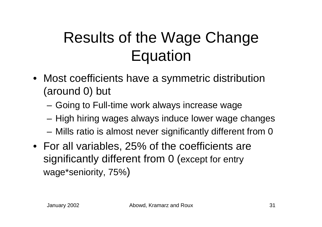#### Results of the Wage Change **Equation**

- Most coefficients have a symmetric distribution (around 0) but
	- Going to Full-time work always increase wage
	- High hiring wages always induce lower wage changes
	- Mills ratio is almost never significantly different from 0
- For all variables, 25% of the coefficients are significantly different from 0 (except for entry wage\*seniority, 75% )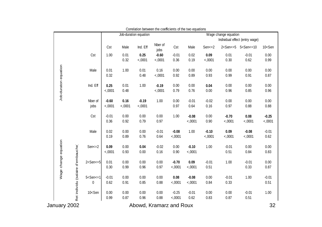|                                                            |                                                                                                                                                                                                                                                                                          |                   |                | Job-duration equation   |                   |                   |                   |                   | Wage change equation | Individual effect (entry wage)                                       |                        |
|------------------------------------------------------------|------------------------------------------------------------------------------------------------------------------------------------------------------------------------------------------------------------------------------------------------------------------------------------------|-------------------|----------------|-------------------------|-------------------|-------------------|-------------------|-------------------|----------------------|----------------------------------------------------------------------|------------------------|
|                                                            |                                                                                                                                                                                                                                                                                          | Cst               | Male           | Ind. Eff                | Nber of<br>jobs   | Cst               | Male              | $Sen < = 2$       |                      | 2 <sen<=5 5<sen<="10&lt;/th"><th>10<sen< th=""></sen<></th></sen<=5> | 10 <sen< th=""></sen<> |
|                                                            | Cst                                                                                                                                                                                                                                                                                      | 1.00              | 0.01<br>0.32   | 0.25<br><,0001          | $-0.60$<br><,0001 | $-0.01$<br>0.36   | 0.02<br>0.19      | 0.09<br><,0001    | 0.01<br>0.30         | $-0.01$<br>0.62                                                      | 0.00<br>0.99           |
|                                                            | Male                                                                                                                                                                                                                                                                                     | 0.01<br>0.32      | 1.00           | 0.01<br>0.48            | 0.16<br><,0001    | 0.00<br>0.92      | 0.00<br>0.89      | 0.00<br>0.93      | 0.00<br>0.99         | 0.00<br>0.91                                                         | 0.00<br>0.87           |
| Job-duraton equation                                       | Ind. Eff                                                                                                                                                                                                                                                                                 | 0.25<br><,0001    | 0.01<br>0.48   | 1.00                    | $-0.19$<br><,0001 | 0.00<br>0.79      | 0.00<br>0.76      | 0.04<br>0.00      | 0.00<br>0.96         | 0.00<br>0.85                                                         | 0.00<br>0.96           |
|                                                            | Nber of<br>jobs                                                                                                                                                                                                                                                                          | $-0.60$<br><,0001 | 0.16<br><,0001 | $-0.19$<br><,0001       | 1.00              | 0.00<br>0.97      | $-0.01$<br>0.64   | $-0.02$<br>0.16   | 0.00<br>0.97         | 0.00<br>0.88                                                         | 0.00<br>0.88           |
|                                                            | Cst                                                                                                                                                                                                                                                                                      | $-0.01$<br>0.36   | 0.00<br>0.92   | 0.00<br>0.79            | 0.00<br>0.97      | 1.00              | $-0.08$<br><,0001 | 0.00<br>0.90      | $-0.70$<br><,0001    | 0.08<br><,0001                                                       | $-0.25$<br><,0001      |
|                                                            | Male                                                                                                                                                                                                                                                                                     | 0.02<br>0.19      | 0.00<br>0.89   | 0.00<br>0.76            | $-0.01$<br>0.64   | $-0.08$<br><,0001 | 1.00              | $-0.10$<br><,0001 | 0.09<br><,0001       | $-0.08$<br><,0001                                                    | $-0.01$<br>0.62        |
|                                                            | $Sen < = 2$                                                                                                                                                                                                                                                                              | 0.09<br><,0001    | 0.00<br>0.93   | 0.04<br>0.00            | $-0.02$<br>0.16   | 0.00<br>0.90      | $-0.10$<br><,0001 | 1.00              | $-0.01$<br>0.51      | 0.00<br>0.84                                                         | 0.00<br>0.83           |
| Wage change equation<br>ffet individu (salaire d'embauche) | $2 <$ Sen $<$ =5                                                                                                                                                                                                                                                                         | 0.01<br>0.30      | 0.00<br>0.99   | 0.00<br>0.96            | 0.00<br>0.97      | $-0.70$<br><,0001 | 0.09<br><,0001    | $-0.01$<br>0.51   | 1.00                 | $-0.01$<br>0.33                                                      | 0.00<br>0.87           |
|                                                            | $5 <$ Sen $<$ =1<br>$\mathbf 0$                                                                                                                                                                                                                                                          | $-0.01$<br>0.62   | 0.00<br>0.91   | 0.00<br>0.85            | 0.00<br>0.88      | 0.08<br><,0001    | $-0.08$<br><,0001 | 0.00<br>0.84      | $-0.01$<br>0.33      | 1.00                                                                 | $-0.01$<br>0.51        |
|                                                            | 10 <sen< td=""><td>0.00<br/>0.99</td><td>0.00<br/>0.87</td><td>0.00<br/>0.96</td><td>0.00<br/>0.88</td><td><math>-0.25</math><br/>&lt;,0001</td><td><math>-0.01</math><br/>0.62</td><td>0.00<br/>0.83</td><td>0.00<br/>0.87</td><td><math>-0.01</math><br/>0.51</td><td>1.00</td></sen<> | 0.00<br>0.99      | 0.00<br>0.87   | 0.00<br>0.96            | 0.00<br>0.88      | $-0.25$<br><,0001 | $-0.01$<br>0.62   | 0.00<br>0.83      | 0.00<br>0.87         | $-0.01$<br>0.51                                                      | 1.00                   |
| January 2002                                               |                                                                                                                                                                                                                                                                                          |                   |                | Abowd, Kramarz and Roux |                   |                   |                   |                   |                      |                                                                      | 32                     |

Correlation between the coefficients of the two equations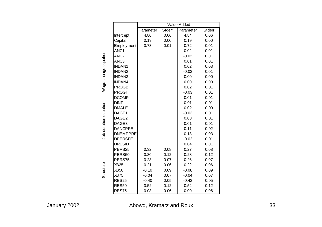|                       |                   | Value-Added |        |           |        |  |  |  |  |  |  |  |
|-----------------------|-------------------|-------------|--------|-----------|--------|--|--|--|--|--|--|--|
|                       |                   | Parameter   | Stderr | Parameter | Stderr |  |  |  |  |  |  |  |
|                       | Intercept         | 4.80        | 0.06   | 4.84      | 0.06   |  |  |  |  |  |  |  |
|                       | Capital           | 0.19        | 0.00   | 0.19      | 0.00   |  |  |  |  |  |  |  |
|                       | Employment        | 0.73        | 0.01   | 0.72      | 0.01   |  |  |  |  |  |  |  |
|                       | ANC1              |             |        | 0.02      | 0.01   |  |  |  |  |  |  |  |
|                       | ANC <sub>2</sub>  |             |        | $-0.02$   | 0.01   |  |  |  |  |  |  |  |
| Wage change equation  | ANC <sub>3</sub>  |             |        | 0.01      | 0.01   |  |  |  |  |  |  |  |
|                       | <b>INDAN1</b>     |             |        | 0.02      | 0.03   |  |  |  |  |  |  |  |
|                       | <b>INDAN2</b>     |             |        | $-0.02$   | 0.01   |  |  |  |  |  |  |  |
|                       | <b>INDAN3</b>     |             |        | 0.00      | 0.00   |  |  |  |  |  |  |  |
|                       | <b>INDAN4</b>     |             |        | 0.00      | 0.00   |  |  |  |  |  |  |  |
|                       | <b>PROGB</b>      |             |        | 0.02      | 0.01   |  |  |  |  |  |  |  |
|                       | <b>PROGH</b>      |             |        | $-0.03$   | 0.01   |  |  |  |  |  |  |  |
|                       | <b>DCOMP</b>      |             |        | 0.01      | 0.01   |  |  |  |  |  |  |  |
|                       | <b>DINT</b>       |             |        | 0.01      | 0.01   |  |  |  |  |  |  |  |
|                       | <b>DMALE</b>      |             |        | 0.02      | 0.00   |  |  |  |  |  |  |  |
| Job-duration equation | DAGE1             |             |        | $-0.03$   | 0.01   |  |  |  |  |  |  |  |
|                       | DAGE2             |             |        | 0.03      | 0.01   |  |  |  |  |  |  |  |
|                       | DAGE3             |             |        | 0.01      | 0.01   |  |  |  |  |  |  |  |
|                       | <b>DANCPRE</b>    |             |        | 0.11      | 0.02   |  |  |  |  |  |  |  |
|                       | <b>DNEMPPRE</b>   |             |        | 0.18      | 0.03   |  |  |  |  |  |  |  |
|                       | <b>DPERSFE</b>    |             |        | $-0.02$   | 0.01   |  |  |  |  |  |  |  |
|                       | <b>DRESID</b>     |             |        | 0.04      | 0.01   |  |  |  |  |  |  |  |
|                       | PERS25            | 0.32        | 0.08   | 0.27      | 0.08   |  |  |  |  |  |  |  |
|                       | PERS50            | 0.30        | 0.12   | 0.28      | 0.12   |  |  |  |  |  |  |  |
|                       | PERS75            | 0.23        | 0.07   | 0.26      | 0.07   |  |  |  |  |  |  |  |
| Structure             | <b>XB25</b>       | 0.21        | 0.06   | 0.22      | 0.06   |  |  |  |  |  |  |  |
|                       | XB50              | $-0.10$     | 0.09   | $-0.08$   | 0.09   |  |  |  |  |  |  |  |
|                       | <b>XB75</b>       | $-0.04$     | 0.07   | $-0.04$   | 0.07   |  |  |  |  |  |  |  |
|                       | RES <sub>25</sub> | $-0.40$     | 0.05   | $-0.42$   | 0.05   |  |  |  |  |  |  |  |
|                       | <b>RES50</b>      | 0.52        | 0.12   | 0.52      | 0.12   |  |  |  |  |  |  |  |
|                       | <b>RES75</b>      | 0.03        | 0.06   | 0.00      | 0.06   |  |  |  |  |  |  |  |

January 2002 Abowd, Kramarz and Roux 33